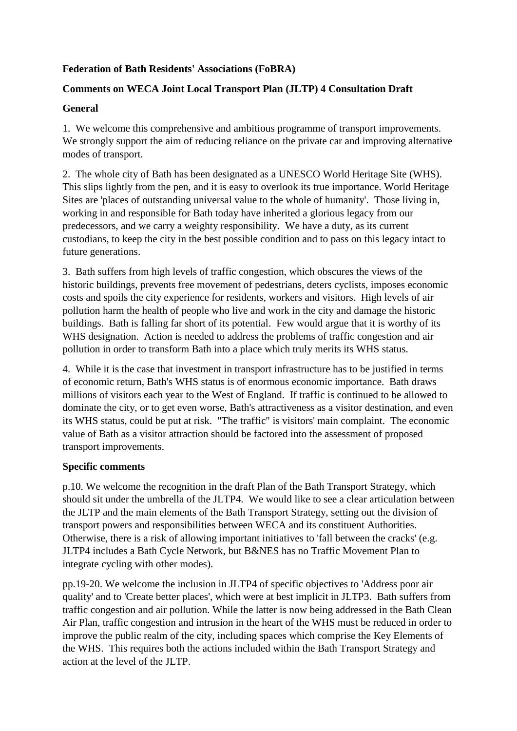## **Federation of Bath Residents' Associations (FoBRA)**

## **Comments on WECA Joint Local Transport Plan (JLTP) 4 Consultation Draft**

## **General**

1. We welcome this comprehensive and ambitious programme of transport improvements. We strongly support the aim of reducing reliance on the private car and improving alternative modes of transport.

2. The whole city of Bath has been designated as a UNESCO World Heritage Site (WHS). This slips lightly from the pen, and it is easy to overlook its true importance. World Heritage Sites are 'places of outstanding universal value to the whole of humanity'. Those living in, working in and responsible for Bath today have inherited a glorious legacy from our predecessors, and we carry a weighty responsibility. We have a duty, as its current custodians, to keep the city in the best possible condition and to pass on this legacy intact to future generations.

3. Bath suffers from high levels of traffic congestion, which obscures the views of the historic buildings, prevents free movement of pedestrians, deters cyclists, imposes economic costs and spoils the city experience for residents, workers and visitors. High levels of air pollution harm the health of people who live and work in the city and damage the historic buildings. Bath is falling far short of its potential. Few would argue that it is worthy of its WHS designation. Action is needed to address the problems of traffic congestion and air pollution in order to transform Bath into a place which truly merits its WHS status.

4. While it is the case that investment in transport infrastructure has to be justified in terms of economic return, Bath's WHS status is of enormous economic importance. Bath draws millions of visitors each year to the West of England. If traffic is continued to be allowed to dominate the city, or to get even worse, Bath's attractiveness as a visitor destination, and even its WHS status, could be put at risk. "The traffic" is visitors' main complaint. The economic value of Bath as a visitor attraction should be factored into the assessment of proposed transport improvements.

## **Specific comments**

p.10. We welcome the recognition in the draft Plan of the Bath Transport Strategy, which should sit under the umbrella of the JLTP4. We would like to see a clear articulation between the JLTP and the main elements of the Bath Transport Strategy, setting out the division of transport powers and responsibilities between WECA and its constituent Authorities. Otherwise, there is a risk of allowing important initiatives to 'fall between the cracks' (e.g. JLTP4 includes a Bath Cycle Network, but B&NES has no Traffic Movement Plan to integrate cycling with other modes).

pp.19-20. We welcome the inclusion in JLTP4 of specific objectives to 'Address poor air quality' and to 'Create better places', which were at best implicit in JLTP3. Bath suffers from traffic congestion and air pollution. While the latter is now being addressed in the Bath Clean Air Plan, traffic congestion and intrusion in the heart of the WHS must be reduced in order to improve the public realm of the city, including spaces which comprise the Key Elements of the WHS. This requires both the actions included within the Bath Transport Strategy and action at the level of the JLTP.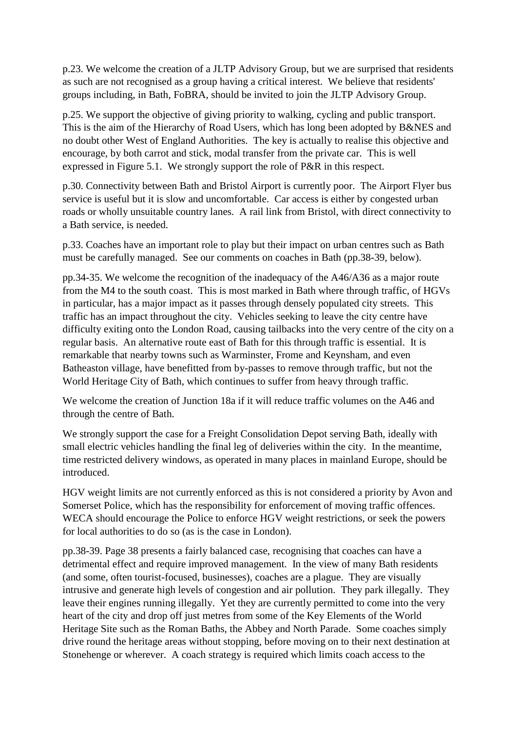p.23. We welcome the creation of a JLTP Advisory Group, but we are surprised that residents as such are not recognised as a group having a critical interest. We believe that residents' groups including, in Bath, FoBRA, should be invited to join the JLTP Advisory Group.

p.25. We support the objective of giving priority to walking, cycling and public transport. This is the aim of the Hierarchy of Road Users, which has long been adopted by B&NES and no doubt other West of England Authorities. The key is actually to realise this objective and encourage, by both carrot and stick, modal transfer from the private car. This is well expressed in Figure 5.1. We strongly support the role of P&R in this respect.

p.30. Connectivity between Bath and Bristol Airport is currently poor. The Airport Flyer bus service is useful but it is slow and uncomfortable. Car access is either by congested urban roads or wholly unsuitable country lanes. A rail link from Bristol, with direct connectivity to a Bath service, is needed.

p.33. Coaches have an important role to play but their impact on urban centres such as Bath must be carefully managed. See our comments on coaches in Bath (pp.38-39, below).

pp.34-35. We welcome the recognition of the inadequacy of the A46/A36 as a major route from the M4 to the south coast. This is most marked in Bath where through traffic, of HGVs in particular, has a major impact as it passes through densely populated city streets. This traffic has an impact throughout the city. Vehicles seeking to leave the city centre have difficulty exiting onto the London Road, causing tailbacks into the very centre of the city on a regular basis. An alternative route east of Bath for this through traffic is essential. It is remarkable that nearby towns such as Warminster, Frome and Keynsham, and even Batheaston village, have benefitted from by-passes to remove through traffic, but not the World Heritage City of Bath, which continues to suffer from heavy through traffic.

We welcome the creation of Junction 18a if it will reduce traffic volumes on the A46 and through the centre of Bath.

We strongly support the case for a Freight Consolidation Depot serving Bath, ideally with small electric vehicles handling the final leg of deliveries within the city. In the meantime, time restricted delivery windows, as operated in many places in mainland Europe, should be introduced.

HGV weight limits are not currently enforced as this is not considered a priority by Avon and Somerset Police, which has the responsibility for enforcement of moving traffic offences. WECA should encourage the Police to enforce HGV weight restrictions, or seek the powers for local authorities to do so (as is the case in London).

pp.38-39. Page 38 presents a fairly balanced case, recognising that coaches can have a detrimental effect and require improved management. In the view of many Bath residents (and some, often tourist-focused, businesses), coaches are a plague. They are visually intrusive and generate high levels of congestion and air pollution. They park illegally. They leave their engines running illegally. Yet they are currently permitted to come into the very heart of the city and drop off just metres from some of the Key Elements of the World Heritage Site such as the Roman Baths, the Abbey and North Parade. Some coaches simply drive round the heritage areas without stopping, before moving on to their next destination at Stonehenge or wherever. A coach strategy is required which limits coach access to the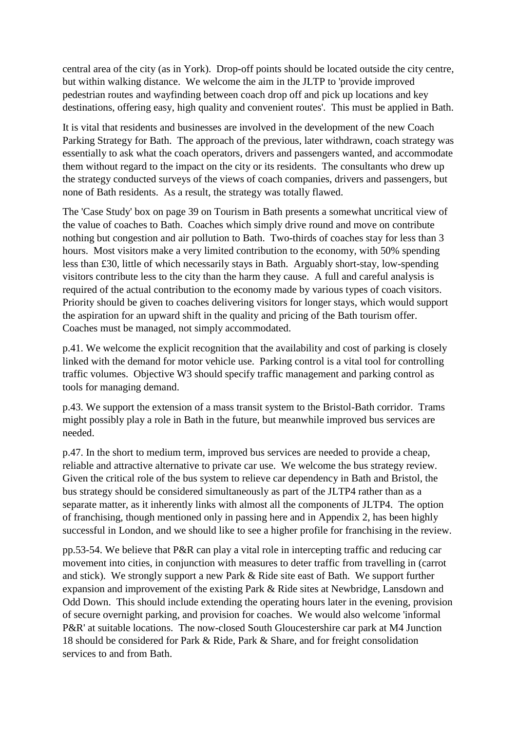central area of the city (as in York). Drop-off points should be located outside the city centre, but within walking distance. We welcome the aim in the JLTP to 'provide improved pedestrian routes and wayfinding between coach drop off and pick up locations and key destinations, offering easy, high quality and convenient routes'. This must be applied in Bath.

It is vital that residents and businesses are involved in the development of the new Coach Parking Strategy for Bath. The approach of the previous, later withdrawn, coach strategy was essentially to ask what the coach operators, drivers and passengers wanted, and accommodate them without regard to the impact on the city or its residents. The consultants who drew up the strategy conducted surveys of the views of coach companies, drivers and passengers, but none of Bath residents. As a result, the strategy was totally flawed.

The 'Case Study' box on page 39 on Tourism in Bath presents a somewhat uncritical view of the value of coaches to Bath. Coaches which simply drive round and move on contribute nothing but congestion and air pollution to Bath. Two-thirds of coaches stay for less than 3 hours. Most visitors make a very limited contribution to the economy, with 50% spending less than £30, little of which necessarily stays in Bath. Arguably short-stay, low-spending visitors contribute less to the city than the harm they cause. A full and careful analysis is required of the actual contribution to the economy made by various types of coach visitors. Priority should be given to coaches delivering visitors for longer stays, which would support the aspiration for an upward shift in the quality and pricing of the Bath tourism offer. Coaches must be managed, not simply accommodated.

p.41. We welcome the explicit recognition that the availability and cost of parking is closely linked with the demand for motor vehicle use. Parking control is a vital tool for controlling traffic volumes. Objective W3 should specify traffic management and parking control as tools for managing demand.

p.43. We support the extension of a mass transit system to the Bristol-Bath corridor. Trams might possibly play a role in Bath in the future, but meanwhile improved bus services are needed.

p.47. In the short to medium term, improved bus services are needed to provide a cheap, reliable and attractive alternative to private car use. We welcome the bus strategy review. Given the critical role of the bus system to relieve car dependency in Bath and Bristol, the bus strategy should be considered simultaneously as part of the JLTP4 rather than as a separate matter, as it inherently links with almost all the components of JLTP4. The option of franchising, though mentioned only in passing here and in Appendix 2, has been highly successful in London, and we should like to see a higher profile for franchising in the review.

pp.53-54. We believe that P&R can play a vital role in intercepting traffic and reducing car movement into cities, in conjunction with measures to deter traffic from travelling in (carrot and stick). We strongly support a new Park & Ride site east of Bath. We support further expansion and improvement of the existing Park & Ride sites at Newbridge, Lansdown and Odd Down. This should include extending the operating hours later in the evening, provision of secure overnight parking, and provision for coaches. We would also welcome 'informal P&R' at suitable locations. The now-closed South Gloucestershire car park at M4 Junction 18 should be considered for Park & Ride, Park & Share, and for freight consolidation services to and from Bath.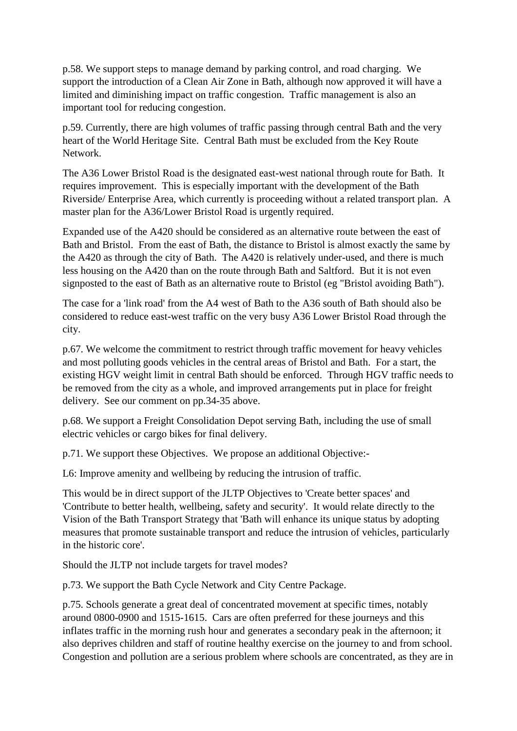p.58. We support steps to manage demand by parking control, and road charging. We support the introduction of a Clean Air Zone in Bath, although now approved it will have a limited and diminishing impact on traffic congestion. Traffic management is also an important tool for reducing congestion.

p.59. Currently, there are high volumes of traffic passing through central Bath and the very heart of the World Heritage Site. Central Bath must be excluded from the Key Route Network.

The A36 Lower Bristol Road is the designated east-west national through route for Bath. It requires improvement. This is especially important with the development of the Bath Riverside/ Enterprise Area, which currently is proceeding without a related transport plan. A master plan for the A36/Lower Bristol Road is urgently required.

Expanded use of the A420 should be considered as an alternative route between the east of Bath and Bristol. From the east of Bath, the distance to Bristol is almost exactly the same by the A420 as through the city of Bath. The A420 is relatively under-used, and there is much less housing on the A420 than on the route through Bath and Saltford. But it is not even signposted to the east of Bath as an alternative route to Bristol (eg "Bristol avoiding Bath").

The case for a 'link road' from the A4 west of Bath to the A36 south of Bath should also be considered to reduce east-west traffic on the very busy A36 Lower Bristol Road through the city.

p.67. We welcome the commitment to restrict through traffic movement for heavy vehicles and most polluting goods vehicles in the central areas of Bristol and Bath. For a start, the existing HGV weight limit in central Bath should be enforced. Through HGV traffic needs to be removed from the city as a whole, and improved arrangements put in place for freight delivery. See our comment on pp.34-35 above.

p.68. We support a Freight Consolidation Depot serving Bath, including the use of small electric vehicles or cargo bikes for final delivery.

p.71. We support these Objectives. We propose an additional Objective:-

L6: Improve amenity and wellbeing by reducing the intrusion of traffic.

This would be in direct support of the JLTP Objectives to 'Create better spaces' and 'Contribute to better health, wellbeing, safety and security'. It would relate directly to the Vision of the Bath Transport Strategy that 'Bath will enhance its unique status by adopting measures that promote sustainable transport and reduce the intrusion of vehicles, particularly in the historic core'.

Should the JLTP not include targets for travel modes?

p.73. We support the Bath Cycle Network and City Centre Package.

p.75. Schools generate a great deal of concentrated movement at specific times, notably around 0800-0900 and 1515-1615. Cars are often preferred for these journeys and this inflates traffic in the morning rush hour and generates a secondary peak in the afternoon; it also deprives children and staff of routine healthy exercise on the journey to and from school. Congestion and pollution are a serious problem where schools are concentrated, as they are in